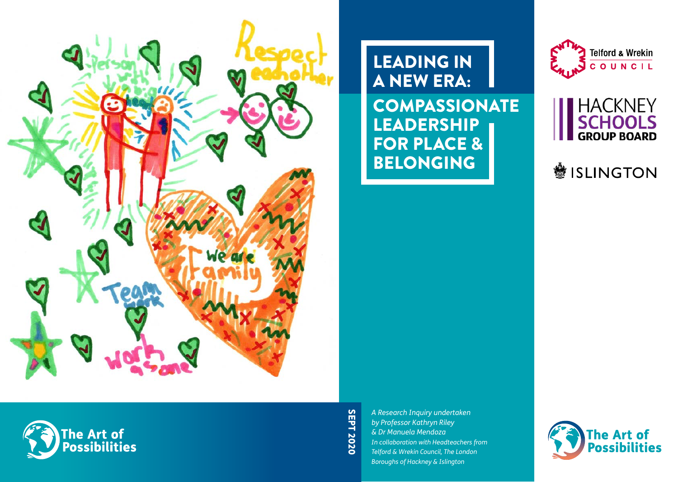

he Art of<br>Possibilities

LEADING IN A NEW ERA: COMPASSIONATE LEADERSHIP FOR PLACE & BELONGING





**變 ISLINGTON** 

**SEPT 2020** SEPT 2020

*A Research Inquiry undertaken by Professor Kathryn Riley & Dr Manuela Mendoza In collaboration with Headteachers from Telford & Wrekin Council, The London Boroughs of Hackney & Islington*

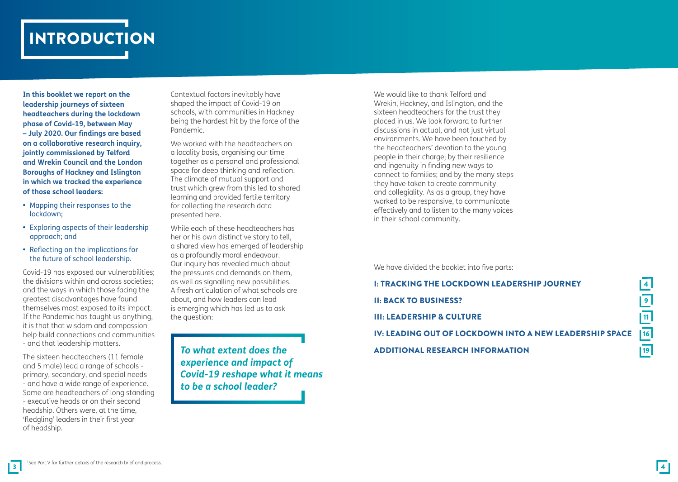

**In this booklet we report on the leadership journeys of sixteen headteachers during the lockdown phase of Covid-19, between May – July 2020. Our findings are based on a collaborative research inquiry, jointly commissioned by Telford and Wrekin Council and the London Boroughs of Hackney and Islington in which we tracked the experience of those school leaders:**

- **•** Mapping their responses to the lockdown;
- **•** Exploring aspects of their leadership approach; and
- **•** Reflecting on the implications for the future of school leadership.

Covid-19 has exposed our vulnerabilities; the divisions within and across societies; and the ways in which those facing the greatest disadvantages have found themselves most exposed to its impact. If the Pandemic has taught us anything, it is that that wisdom and compassion help build connections and communities - and that leadership matters.

The sixteen headteachers (11 female and 5 male) lead a range of schools primary, secondary, and special needs - and have a wide range of experience. Some are headteachers of long standing - executive heads or on their second headship. Others were, at the time, 'fledgling' leaders in their first year of headship.

Contextual factors inevitably have shaped the impact of Covid-19 on schools, with communities in Hackney being the hardest hit by the force of the Pandemic.

We worked with the headteachers on a locality basis, organising our time together as a personal and professional space for deep thinking and reflection. The climate of mutual support and trust which grew from this led to shared learning and provided fertile territory for collecting the research data presented here.

While each of these headteachers has her or his own distinctive story to tell, a shared view has emerged of leadership as a profoundly moral endeavour. Our inquiry has revealed much about the pressures and demands on them, as well as signalling new possibilities. A fresh articulation of what schools are about, and how leaders can lead is emerging which has led us to ask the question:

*To what extent does the experience and impact of Covid-19 reshape what it means to be a school leader?*

We would like to thank Telford and Wrekin, Hackney, and Islington, and the sixteen headteachers for the trust they placed in us. We look forward to further discussions in actual, and not just virtual environments. We have been touched by the headteachers' devotion to the young people in their charge; by their resilience and ingenuity in finding new ways to connect to families; and by the many steps they have taken to create community and collegiality. As as a group, they have worked to be responsive, to communicate effectively and to listen to the many voices in their school community.

We have divided the booklet into five parts:

I: TRACKING THE LOCKDOWN LEADERSHIP JOURNEY<br>II: BACK TO BUSINESS?<br>III: LEADERSHIP & CULTURE<br>IV: LEADING OUT OF LOCKDOWN INTO A NEW LEADERSHIP SPACE **II: BACK TO BUSINESS? III: LEADERSHIP & CULTURE** IV: LEADING OUT OF LOCKDOWN INTO A NEW LEADERSHIP SPACE ADDITIONAL RESEARCH INFORMATION 19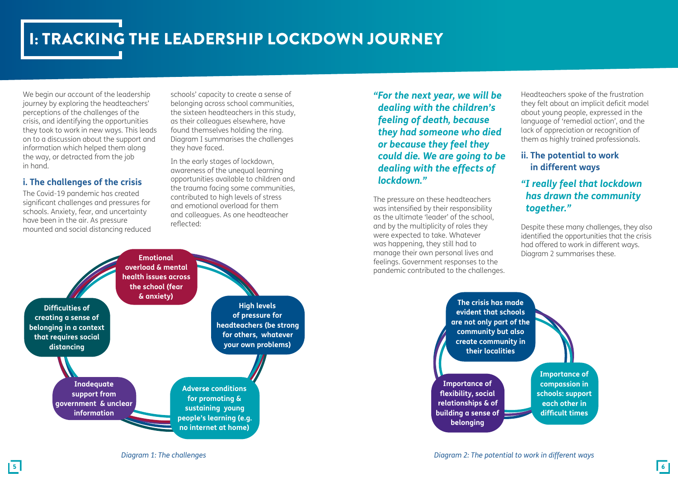# I: TRACKING THE LEADERSHIP LOCKDOWN JOURNEY

We begin our account of the leadership journey by exploring the headteachers' perceptions of the challenges of the crisis, and identifying the opportunities they took to work in new ways. This leads on to a discussion about the support and information which helped them along the way, or detracted from the job in hand.

### **i. The challenges of the crisis**

The Covid-19 pandemic has created significant challenges and pressures for schools. Anxiety, fear, and uncertainty have been in the air. As pressure mounted and social distancing reduced

schools' capacity to create a sense of belonging across school communities, the sixteen headteachers in this study, as their colleagues elsewhere, have found themselves holding the ring. Diagram I summarises the challenges they have faced.

In the early stages of lockdown, awareness of the unequal learning opportunities available to children and the trauma facing some communities, contributed to high levels of stress and emotional overload for them and colleagues. As one headteacher reflected:

*"For the next year, we will be dealing with the children's feeling of death, because they had someone who died or because they feel they could die. We are going to be dealing with the effects of lockdown."*

The pressure on these headteachers was intensified by their responsibility as the ultimate 'leader' of the school, and by the multiplicity of roles they were expected to take. Whatever was happening, they still had to manage their own personal lives and feelings. Government responses to the pandemic contributed to the challenges.

Headteachers spoke of the frustration they felt about an implicit deficit model about young people, expressed in the language of 'remedial action', and the lack of appreciation or recognition of them as highly trained professionals.

## **ii. The potential to work in different ways**

## *"I really feel that lockdown has drawn the community together."*

Despite these many challenges, they also identified the opportunities that the crisis had offered to work in different ways. Diagram 2 summarises these.



**evident that schools are not only part of the community but also create community in their localities Importance of flexibility, social relationships & of building a sense of belonging Importance of compassion in schools: support each other in difficult times**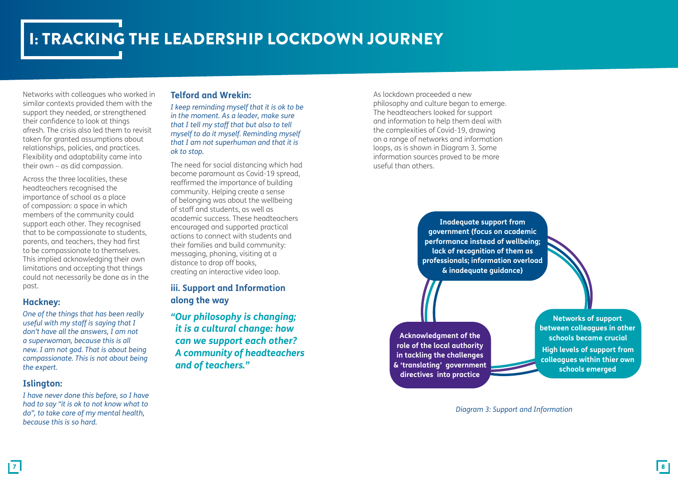# I: TRACKING THE LEADERSHIP LOCKDOWN JOURNEY

Networks with colleagues who worked in similar contexts provided them with the support they needed, or strengthened their confidence to look at things afresh. The crisis also led them to revisit taken for granted assumptions about relationships, policies, and practices. Flexibility and adaptability came into their own – as did compassion.

Across the three localities, these headteachers recognised the importance of school as a place of compassion: a space in which members of the community could support each other. They recognised that to be compassionate to students, parents, and teachers, they had first to be compassionate to themselves. This implied acknowledging their own limitations and accepting that things could not necessarily be done as in the past.

### **Hackney:**

*One of the things that has been really useful with my staff is saying that I don't have all the answers, I am not a superwoman, because this is all new. I am not god. That is about being compassionate. This is not about being the expert.* 

### **Islington:**

*I have never done this before, so I have had to say "it is ok to not know what to do", to take care of my mental health, because this is so hard.* 

#### **Telford and Wrekin:**

*I keep reminding myself that it is ok to be in the moment. As a leader, make sure that I tell my staff that but also to tell myself to do it myself. Reminding myself that I am not superhuman and that it is ok to stop.*

The need for social distancing which had become paramount as Covid-19 spread, reaffirmed the importance of building community. Helping create a sense of belonging was about the wellbeing of staff and students, as well as academic success. These headteachers encouraged and supported practical actions to connect with students and their families and build community: messaging, phoning, visiting at a distance to drop off books, creating an interactive video loop.

## **iii. Support and Information along the way**

*"Our philosophy is changing; it is a cultural change: how can we support each other? A community of headteachers and of teachers."*

As lockdown proceeded a new philosophy and culture began to emerge. The headteachers looked for support and information to help them deal with the complexities of Covid-19, drawing on a range of networks and information loops, as is shown in Diagram 3. Some information sources proved to be more useful than others.

> **Inadequate support from government (focus on academic performance instead of wellbeing; lack of recognition of them as professionals; information overload & inadequate guidance)**

**Acknowledgment of the role of the local authority in tackling the challenges & 'translating' government directives into practice** 

**Networks of support between colleagues in other schools became crucial High levels of support from colleagues within thier own schools emerged**

#### *Diagram 3: Support and Information*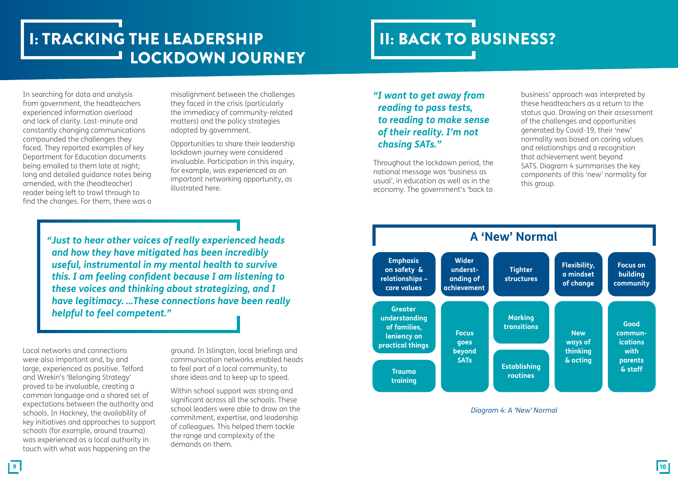# I: TRACKING THE LEADERSHIP **LOCKDOWN JOURNEY**

# II: BACK TO BUSINESS?

In searching for data and analysis from government, the headteachers experienced information overload and lack of clarity. Last-minute and constantly changing communications compounded the challenges they faced. They reported examples of key Department for Education documents being emailed to them late at night; long and detailed guidance notes being amended, with the (headteacher) reader being left to trawl through to find the changes. For them, there was a

misalignment between the challenges they faced in the crisis (particularly the immediacy of community-related matters) and the policy strategies adopted by government.

Opportunities to share their leadership lockdown journey were considered invaluable. Participation in this inquiry, for example, was experienced as an important networking opportunity, as illustrated here.

*"Just to hear other voices of really experienced heads and how they have mitigated has been incredibly useful, instrumental in my mental health to survive this. I am feeling confident because I am listening to these voices and thinking about strategizing, and I have legitimacy. ...These connections have been really helpful to feel competent."*

Local networks and connections were also important and, by and large, experienced as positive. Telford and Wrekin's 'Belonging Strategy' proved to be invaluable, creating a common language and a shared set of expectations between the authority and schools. In Hackney, the availability of key initiatives and approaches to support schools (for example, around trauma) was experienced as a local authority in touch with what was happening on the

ground. In Islington, local briefings and communication networks enabled heads to feel part of a local community, to share ideas and to keep up to speed.

Within school support was strong and significant across all the schools. These school leaders were able to draw on the commitment, expertise, and leadership of colleagues. This helped them tackle the range and complexity of the demands on them.

# *"I want to get away from reading to pass tests, to reading to make sense of their reality. I'm not chasing SATs."*

Throughout the lockdown period, the national message was 'business as usual', in education as well as in the economy. The government's 'back to

business' approach was interpreted by these headteachers as a return to the status quo. Drawing on their assessment of the challenges and opportunities generated by Covid-19, their 'new' normality was based on caring values and relationships and a recognition that achievement went beyond SATS. Diagram 4 summarises the key components of this 'new' normality for this group.



*Diagram 4: A 'New' Normal*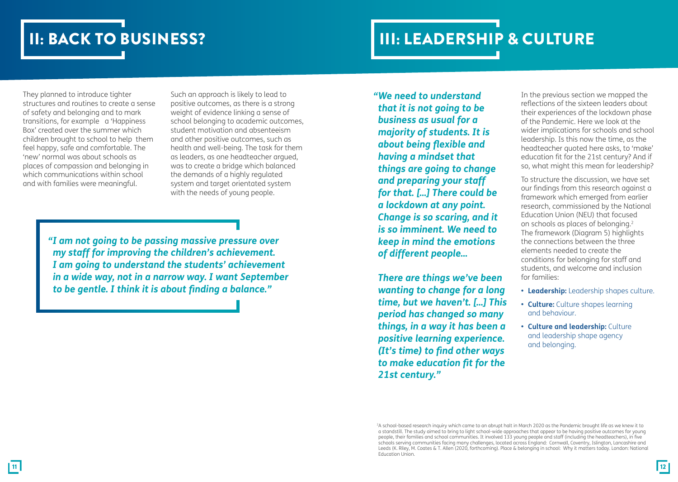# II: BACK TO BUSINESS? IN EXAMPLE AND THE LEADERSHIP & CULTURE

They planned to introduce tighter structures and routines to create a sense of safety and belonging and to mark transitions, for example a 'Happiness Box' created over the summer which children brought to school to help them feel happy, safe and comfortable. The 'new' normal was about schools as places of compassion and belonging in which communications within school and with families were meaningful.

Such an approach is likely to lead to positive outcomes, as there is a strong weight of evidence linking a sense of school belonging to academic outcomes, student motivation and absenteeism and other positive outcomes, such as health and well-being. The task for them as leaders, as one headteacher argued, was to create a bridge which balanced the demands of a highly regulated system and target orientated system with the needs of young people.

*"I am not going to be passing massive pressure over my staff for improving the children's achievement. I am going to understand the students' achievement in a wide way, not in a narrow way. I want September to be gentle. I think it is about finding a balance."*

*"We need to understand that it is not going to be business as usual for a majority of students. It is about being flexible and having a mindset that things are going to change and preparing your staff for that. [...] There could be a lockdown at any point. Change is so scaring, and it is so imminent. We need to keep in mind the emotions of different people...* 

*There are things we've been wanting to change for a long time, but we haven't. [...] This period has changed so many things, in a way it has been a positive learning experience. (It's time) to find other ways to make education fit for the 21st century."*

In the previous section we mapped the reflections of the sixteen leaders about their experiences of the lockdown phase of the Pandemic. Here we look at the wider implications for schools and school leadership. Is this now the time, as the headteacher quoted here asks, to 'make' education fit for the 21st century? And if so, what might this mean for leadership?

To structure the discussion, we have set our findings from this research against a framework which emerged from earlier research, commissioned by the National Education Union (NEU) that focused on schools as places of belonging.2 The framework (Diagram 5) highlights the connections between the three elements needed to create the conditions for belonging for staff and students, and welcome and inclusion for families:

- **• Leadership:** Leadership shapes culture.
- **Culture:** Culture shapes learning and behaviour.
- **Culture and leadership:** Culture and leadership shape agency and belonging.

A school-based research inquiry which came to an abrupt halt in March 2020 as the Pandemic brought life as we knew it to '<br>A standstill. The study aimed to bring to light school-wide approaches that appear to be having pos people, their families and school communities. It involved 133 young people and staff (including the headteachers), in five schools serving communities facing many challenges, located across England: Cornwall, Coventry, Islington, Lancashire and Leeds (K. Riley, M. Coates & T. Allen (2020, forthcoming). Place & belonging in school: Why it matters today. London: National Education Union.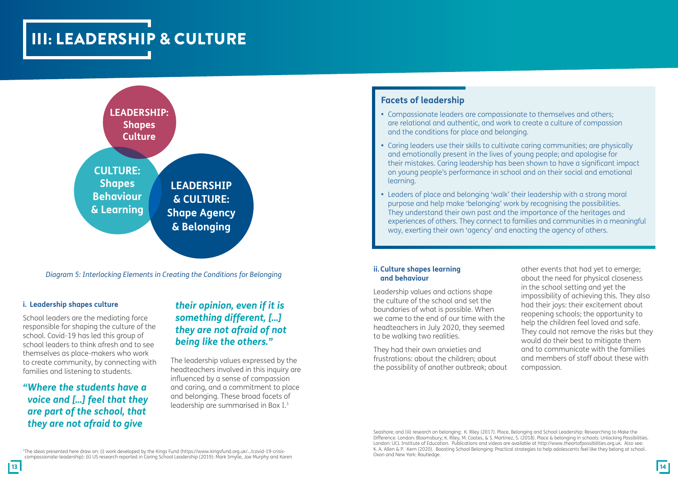# III: LEADERSHIP & CULTURE



*Diagram 5: Interlocking Elements in Creating the Conditions for Belonging*

#### **i. Leadership shapes culture**

School leaders are the mediating force responsible for shaping the culture of the school. Covid-19 has led this group of school leaders to think afresh and to see themselves as place-makers who work to create community, by connecting with families and listening to students.

# *"Where the students have a voice and […] feel that they are part of the school, that they are not afraid to give*

# *their opinion, even if it is something different, […] they are not afraid of not being like the others."*

The leadership values expressed by the headteachers involved in this inquiry are influenced by a sense of compassion and caring, and a commitment to place and belonging. These broad facets of leadership are summarised in Box I.3

### **Facets of leadership**

- Compassionate leaders are compassionate to themselves and others; are relational and authentic, and work to create a culture of compassion and the conditions for place and belonging.
- Caring leaders use their skills to cultivate caring communities; are physically and emotionally present in the lives of young people; and apologise for their mistakes. Caring leadership has been shown to have a significant impact on young people's performance in school and on their social and emotional learning.
- Leaders of place and belonging 'walk' their leadership with a strong moral purpose and help make 'belonging' work by recognising the possibilities. They understand their own past and the importance of the heritages and experiences of others. They connect to families and communities in a meaningful way, exerting their own 'agency' and enacting the agency of others.

#### **ii. Culture shapes learning and behaviour**

Leadership values and actions shape the culture of the school and set the boundaries of what is possible. When we came to the end of our time with the headteachers in July 2020, they seemed to be walking two realities.

They had their own anxieties and frustrations: about the children; about the possibility of another outbreak; about other events that had yet to emerge; about the need for physical closeness in the school setting and yet the impossibility of achieving this. They also had their joys: their excitement about reopening schools; the opportunity to help the children feel loved and safe. They could not remove the risks but they would do their best to mitigate them and to communicate with the families and members of staff about these with compassion.

Seashore; and (iii) research on belonging: K. Riley (2017). Place, Belonging and School Leadership: Researching to Make the Difference. London: Bloomsbury; K. Riley, M. Coates, & S. Martinez, S. (2018). Place & belonging in schools: Unlocking Possibilities. London: UCL Institute of Education. Publications and videos are available at http://www.theartofpossibilities.org.uk. Also see: K. A. Allen & P. Kern (2020). Boosting School Belonging: Practical strategies to help adolescents feel like they belong at school. Oxon and New York: Routledge.

3The ideas presented here draw on: (i) work developed by the Kings Fund (https://www.kingsfund.org.uk/.../covid-19-crisiscompassionate-leadership): (ii) US research reported in Caring School Leadership (2019): Mark Smylie, Joe Murphy and Karen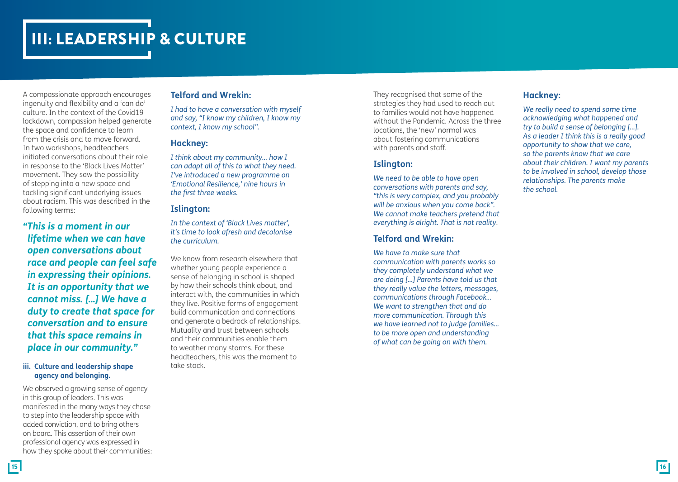# III: LEADERSHIP & CULTURE

A compassionate approach encourages ingenuity and flexibility and a 'can do' culture. In the context of the Covid19 lockdown, compassion helped generate the space and confidence to learn from the crisis and to move forward. In two workshops, headteachers initiated conversations about their role in response to the 'Black Lives Matter' movement. They saw the possibility of stepping into a new space and tackling significant underlying issues about racism. This was described in the following terms:

*"This is a moment in our lifetime when we can have open conversations about race and people can feel safe in expressing their opinions. It is an opportunity that we cannot miss. […] We have a duty to create that space for conversation and to ensure that this space remains in place in our community."*

#### **iii. Culture and leadership shape agency and belonging.**

We observed a growing sense of agency in this group of leaders. This was manifested in the many ways they chose to step into the leadership space with added conviction, and to bring others on board. This assertion of their own professional agency was expressed in how they spoke about their communities:

### **Telford and Wrekin:**

*I had to have a conversation with myself and say, "I know my children, I know my context, I know my school".*

### **Hackney:**

*I think about my community... how I can adapt all of this to what they need. I've introduced a new programme on 'Emotional Resilience,' nine hours in the first three weeks.*

### **Islington:**

*In the context of 'Black Lives matter', it's time to look afresh and decolonise the curriculum.* 

We know from research elsewhere that whether young people experience a sense of belonging in school is shaped by how their schools think about, and interact with, the communities in which they live. Positive forms of engagement build communication and connections and generate a bedrock of relationships. Mutuality and trust between schools and their communities enable them to weather many storms. For these headteachers, this was the moment to take stock.

They recognised that some of the strategies they had used to reach out to families would not have happened without the Pandemic. Across the three locations, the 'new' normal was about fostering communications with parents and staff.

### **Islington:**

*We need to be able to have open conversations with parents and say, "this is very complex, and you probably will be anxious when you come back". We cannot make teachers pretend that everything is alright. That is not reality*.

### **Telford and Wrekin:**

*We have to make sure that communication with parents works so they completely understand what we are doing […] Parents have told us that they really value the letters, messages, communications through Facebook… We want to strengthen that and do more communication. Through this we have learned not to judge families… to be more open and understanding of what can be going on with them.*

### **Hackney:**

*We really need to spend some time acknowledging what happened and try to build a sense of belonging […]. As a leader I think this is a really good opportunity to show that we care, so the parents know that we care about their children. I want my parents to be involved in school, develop those relationships. The parents make the school.*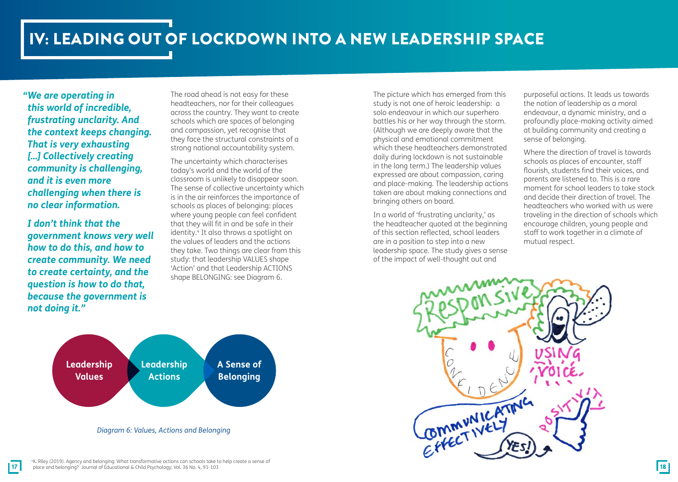# IV: LEADING OUT OF LOCKDOWN INTO A NEW LEADERSHIP SPACE

*"We are operating in this world of incredible, frustrating unclarity. And the context keeps changing. That is very exhausting […] Collectively creating community is challenging, and it is even more challenging when there is no clear information.*

*I don't think that the government knows very well how to do this, and how to create community. We need to create certainty, and the question is how to do that, because the government is not doing it."*

The road ahead is not easy for these headteachers, nor for their colleagues across the country. They want to create schools which are spaces of belonging and compassion, yet recognise that they face the structural constraints of a strong national accountability system.

The uncertainty which characterises today's world and the world of the classroom is unlikely to disappear soon. The sense of collective uncertainty which is in the air reinforces the importance of schools as places of belonging: places where young people can feel confident that they will fit in and be safe in their identity.<sup>4</sup> It also throws a spotlight on the values of leaders and the actions they take. Two things are clear from this study: that leadership VALUES shape 'Action' and that Leadership ACTIONS shape BELONGING: see Diagram 6.

The picture which has emerged from this study is not one of heroic leadership: a solo endeavour in which our superhero battles his or her way through the storm. (Although we are deeply aware that the physical and emotional commitment which these headteachers demonstrated daily during lockdown is not sustainable in the long term.) The leadership values expressed are about compassion, caring and place-making. The leadership actions taken are about making connections and bringing others on board.

In a world of 'frustrating unclarity,' as the headteacher quoted at the beginning of this section reflected, school leaders are in a position to step into a new leadership space. The study gives a sense of the impact of well-thought out and

purposeful actions. It leads us towards the notion of leadership as a moral endeavour, a dynamic ministry, and a profoundly place-making activity aimed at building community and creating a sense of belonging.

Where the direction of travel is towards schools as places of encounter, staff flourish, students find their voices, and parents are listened to. This is a rare moment for school leaders to take stock and decide their direction of travel. The headteachers who worked with us were traveling in the direction of schools which encourage children, young people and staff to work together in a climate of mutual respect.



*Diagram 6: Values, Actions and Belonging*